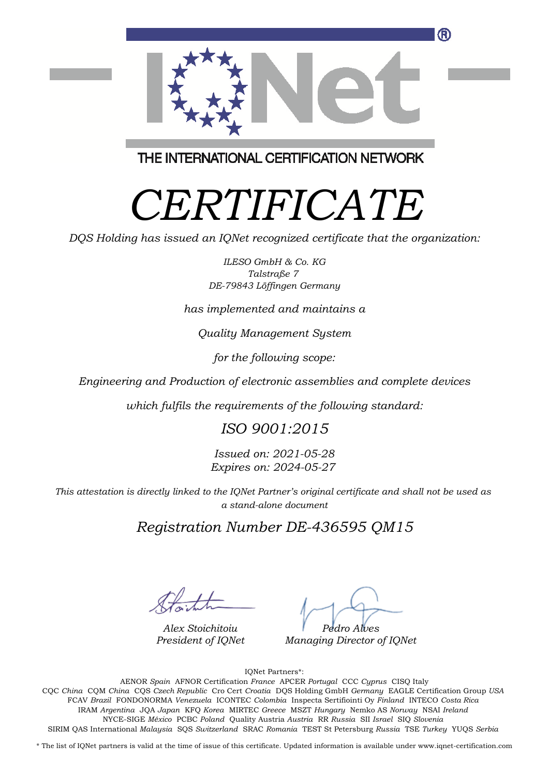

THE INTERNATIONAL CERTIFICATION NETWORK

# *CERTIFICATE*

*DQS Holding has issued an IQNet recognized certificate that the organization:*

*ILESO GmbH & Co. KG Talstraße 7 DE-79843 Löffingen Germany*

*has implemented and maintains a*

*Quality Management System*

*for the following scope:*

*Engineering and Production of electronic assemblies and complete devices*

*which fulfils the requirements of the following standard:*

### *ISO 9001:2015*

*Issued on: 2021-05-28 Expires on: 2024-05-27*

*This attestation is directly linked to the IQNet Partner's original certificate and shall not be used as a stand-alone document*

*Registration Number DE-436595 QM15*

*Alex Stoichitoiu President of IQNet*

*Pedro Alves*

*Managing Director of IQNet*

IQNet Partners\*:

This annex is only valid in connection with the above-mentioned certificate. FCAV *Brazil* FONDONORMA *Venezuela* ICONTEC *Colombia* Inspecta Sertifiointi Oy *Finland* INTECO *Costa Rica* AENOR *Spain* AFNOR Certification *France* APCER *Portugal* CCC *Cyprus* CISQ Italy CQC *China* CQM *China* CQS *Czech Republic* Cro Cert *Croatia* DQS Holding GmbH *Germany* EAGLE Certification Group *USA* IRAM *Argentina* JQA *Japan* KFQ *Korea* MIRTEC *Greece* MSZT *Hungary* Nemko AS *Norway* NSAI *Ireland* NYCE-SIGE *México* PCBC *Poland* Quality Austria *Austria* RR *Russia* SII *Israel* SIQ *Slovenia* SIRIM QAS International *Malaysia* SQS *Switzerland* SRAC *Romania* TEST St Petersburg *Russia* TSE *Turkey* YUQS *Serbia*

\* The list of IQNet partners is valid at the time of issue of this certificate. Updated information is available under www.iqnet-certification.com